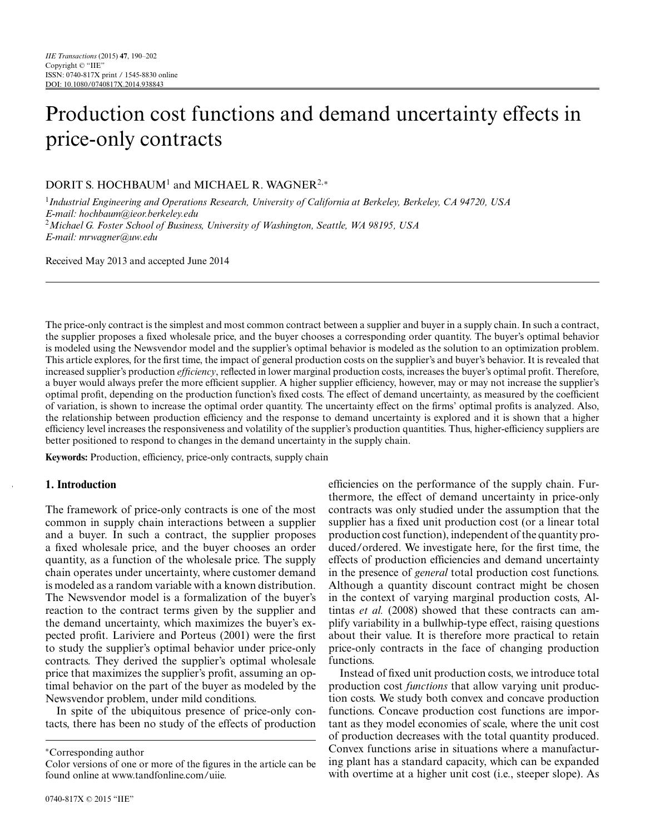# Production cost functions and demand uncertainty effects in price-only contracts

DORIT S. HOCHBAUM<sup>1</sup> and MICHAEL R. WAGNER<sup>2,\*</sup>

<sup>1</sup>*Industrial Engineering and Operations Research, University of California at Berkeley, Berkeley, CA 94720, USA E-mail: hochbaum@ieor.berkeley.edu* <sup>2</sup>*Michael G. Foster School of Business, University of Washington, Seattle, WA 98195, USA E-mail: mrwagner@uw.edu*

Received May 2013 and accepted June 2014

The price-only contract is the simplest and most common contract between a supplier and buyer in a supply chain. In such a contract, the supplier proposes a fixed wholesale price, and the buyer chooses a corresponding order quantity. The buyer's optimal behavior is modeled using the Newsvendor model and the supplier's optimal behavior is modeled as the solution to an optimization problem. This article explores, for the first time, the impact of general production costs on the supplier's and buyer's behavior. It is revealed that increased supplier's production *efficiency*, reflected in lower marginal production costs, increases the buyer's optimal profit. Therefore, a buyer would always prefer the more efficient supplier. A higher supplier efficiency, however, may or may not increase the supplier's optimal profit, depending on the production function's fixed costs. The effect of demand uncertainty, as measured by the coefficient of variation, is shown to increase the optimal order quantity. The uncertainty effect on the firms' optimal profits is analyzed. Also, the relationship between production efficiency and the response to demand uncertainty is explored and it is shown that a higher efficiency level increases the responsiveness and volatility of the supplier's production quantities. Thus, higher-efficiency suppliers are better positioned to respond to changes in the demand uncertainty in the supply chain.

**Keywords:** Production, efficiency, price-only contracts, supply chain

# **1. Introduction**

Downloaded by [190.233.21.246] at 07:10 11 December 2014

The framework of price-only contracts is one of the most common in supply chain interactions between a supplier and a buyer. In such a contract, the supplier proposes a fixed wholesale price, and the buyer chooses an order quantity, as a function of the wholesale price. The supply chain operates under uncertainty, where customer demand is modeled as a random variable with a known distribution. The Newsvendor model is a formalization of the buyer's reaction to the contract terms given by the supplier and the demand uncertainty, which maximizes the buyer's expected profit. Lariviere and Porteus (2001) were the first to study the supplier's optimal behavior under price-only contracts. They derived the supplier's optimal wholesale price that maximizes the supplier's profit, assuming an optimal behavior on the part of the buyer as modeled by the Newsvendor problem, under mild conditions.

In spite of the ubiquitous presence of price-only contacts, there has been no study of the effects of production

<sup>∗</sup>Corresponding author

efficiencies on the performance of the supply chain. Furthermore, the effect of demand uncertainty in price-only contracts was only studied under the assumption that the supplier has a fixed unit production cost (or a linear total production cost function), independent of the quantity produced/ordered. We investigate here, for the first time, the effects of production efficiencies and demand uncertainty in the presence of *general* total production cost functions. Although a quantity discount contract might be chosen in the context of varying marginal production costs, Altintas *et al.* (2008) showed that these contracts can amplify variability in a bullwhip-type effect, raising questions about their value. It is therefore more practical to retain price-only contracts in the face of changing production functions.

Instead of fixed unit production costs, we introduce total production cost *functions* that allow varying unit production costs. We study both convex and concave production functions. Concave production cost functions are important as they model economies of scale, where the unit cost of production decreases with the total quantity produced. Convex functions arise in situations where a manufacturing plant has a standard capacity, which can be expanded with overtime at a higher unit cost (i.e., steeper slope). As

Color versions of one or more of the figures in the article can be found online at www.tandfonline.com/uiie.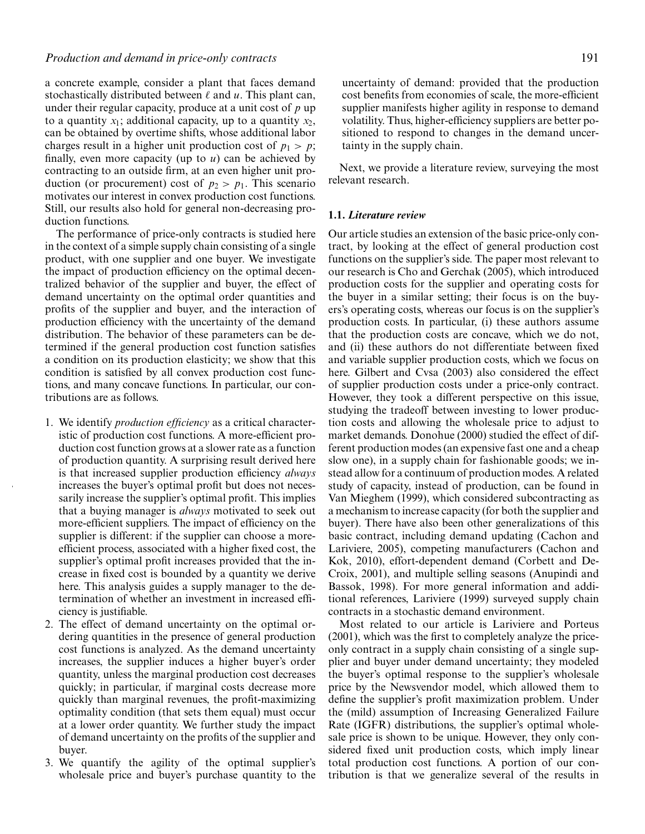a concrete example, consider a plant that faces demand stochastically distributed between  $\ell$  and  $u$ . This plant can, under their regular capacity, produce at a unit cost of *p* up to a quantity  $x_1$ ; additional capacity, up to a quantity  $x_2$ , can be obtained by overtime shifts, whose additional labor charges result in a higher unit production cost of  $p_1 > p$ ; finally, even more capacity (up to *u*) can be achieved by contracting to an outside firm, at an even higher unit production (or procurement) cost of  $p_2 > p_1$ . This scenario motivates our interest in convex production cost functions. Still, our results also hold for general non-decreasing production functions.

The performance of price-only contracts is studied here in the context of a simple supply chain consisting of a single product, with one supplier and one buyer. We investigate the impact of production efficiency on the optimal decentralized behavior of the supplier and buyer, the effect of demand uncertainty on the optimal order quantities and profits of the supplier and buyer, and the interaction of production efficiency with the uncertainty of the demand distribution. The behavior of these parameters can be determined if the general production cost function satisfies a condition on its production elasticity; we show that this condition is satisfied by all convex production cost functions, and many concave functions. In particular, our contributions are as follows.

1. We identify *production efficiency* as a critical characteristic of production cost functions. A more-efficient production cost function grows at a slower rate as a function of production quantity. A surprising result derived here is that increased supplier production efficiency *always* increases the buyer's optimal profit but does not necessarily increase the supplier's optimal profit. This implies that a buying manager is *always* motivated to seek out more-efficient suppliers. The impact of efficiency on the supplier is different: if the supplier can choose a moreefficient process, associated with a higher fixed cost, the supplier's optimal profit increases provided that the increase in fixed cost is bounded by a quantity we derive here. This analysis guides a supply manager to the determination of whether an investment in increased efficiency is justifiable.

Downloaded by [190.233.21.246] at 07:10 11 December 2014

- 2. The effect of demand uncertainty on the optimal ordering quantities in the presence of general production cost functions is analyzed. As the demand uncertainty increases, the supplier induces a higher buyer's order quantity, unless the marginal production cost decreases quickly; in particular, if marginal costs decrease more quickly than marginal revenues, the profit-maximizing optimality condition (that sets them equal) must occur at a lower order quantity. We further study the impact of demand uncertainty on the profits of the supplier and buyer.
- 3. We quantify the agility of the optimal supplier's wholesale price and buyer's purchase quantity to the

uncertainty of demand: provided that the production cost benefits from economies of scale, the more-efficient supplier manifests higher agility in response to demand volatility. Thus, higher-efficiency suppliers are better positioned to respond to changes in the demand uncertainty in the supply chain.

Next, we provide a literature review, surveying the most relevant research.

# **1.1.** *Literature review*

Our article studies an extension of the basic price-only contract, by looking at the effect of general production cost functions on the supplier's side. The paper most relevant to our research is Cho and Gerchak (2005), which introduced production costs for the supplier and operating costs for the buyer in a similar setting; their focus is on the buyers's operating costs, whereas our focus is on the supplier's production costs. In particular, (i) these authors assume that the production costs are concave, which we do not, and (ii) these authors do not differentiate between fixed and variable supplier production costs, which we focus on here. Gilbert and Cvsa (2003) also considered the effect of supplier production costs under a price-only contract. However, they took a different perspective on this issue, studying the tradeoff between investing to lower production costs and allowing the wholesale price to adjust to market demands. Donohue (2000) studied the effect of different production modes (an expensive fast one and a cheap slow one), in a supply chain for fashionable goods; we instead allow for a continuum of production modes. A related study of capacity, instead of production, can be found in Van Mieghem (1999), which considered subcontracting as a mechanism to increase capacity (for both the supplier and buyer). There have also been other generalizations of this basic contract, including demand updating (Cachon and Lariviere, 2005), competing manufacturers (Cachon and Kok, 2010), effort-dependent demand (Corbett and De-Croix, 2001), and multiple selling seasons (Anupindi and Bassok, 1998). For more general information and additional references, Lariviere (1999) surveyed supply chain contracts in a stochastic demand environment.

Most related to our article is Lariviere and Porteus (2001), which was the first to completely analyze the priceonly contract in a supply chain consisting of a single supplier and buyer under demand uncertainty; they modeled the buyer's optimal response to the supplier's wholesale price by the Newsvendor model, which allowed them to define the supplier's profit maximization problem. Under the (mild) assumption of Increasing Generalized Failure Rate (IGFR) distributions, the supplier's optimal wholesale price is shown to be unique. However, they only considered fixed unit production costs, which imply linear total production cost functions. A portion of our contribution is that we generalize several of the results in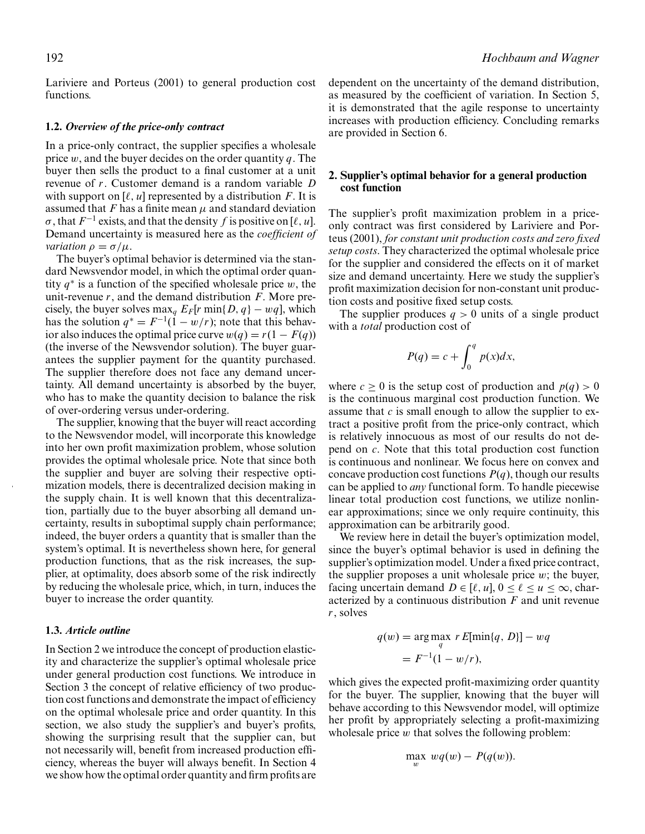Downloaded by [190.233.21.246] at 07:10 11 December 2014

Lariviere and Porteus (2001) to general production cost functions.

#### **1.2.** *Overview of the price-only contract*

In a price-only contract, the supplier specifies a wholesale price w, and the buyer decides on the order quantity *q*. The buyer then sells the product to a final customer at a unit revenue of *r*. Customer demand is a random variable *D* with support on  $[\ell, u]$  represented by a distribution *F*. It is assumed that  $F$  has a finite mean  $\mu$  and standard deviation  $\sigma$ , that  $F^{-1}$  exists, and that the density f is positive on [ $\ell$ ,  $u$ ]. Demand uncertainty is measured here as the *coefficient of variation*  $\rho = \sigma / \mu$ .

The buyer's optimal behavior is determined via the standard Newsvendor model, in which the optimal order quantity  $q^*$  is a function of the specified wholesale price w, the unit-revenue *r*, and the demand distribution *F*. More precisely, the buyer solves max<sub>*q*</sub>  $E_F[r \min\{D, q\} - wq]$ , which has the solution  $q^* = F^{-1}(1 - w/r)$ ; note that this behavior also induces the optimal price curve  $w(q) = r(1 - F(q))$ (the inverse of the Newsvendor solution). The buyer guarantees the supplier payment for the quantity purchased. The supplier therefore does not face any demand uncertainty. All demand uncertainty is absorbed by the buyer, who has to make the quantity decision to balance the risk of over-ordering versus under-ordering.

The supplier, knowing that the buyer will react according to the Newsvendor model, will incorporate this knowledge into her own profit maximization problem, whose solution provides the optimal wholesale price. Note that since both the supplier and buyer are solving their respective optimization models, there is decentralized decision making in the supply chain. It is well known that this decentralization, partially due to the buyer absorbing all demand uncertainty, results in suboptimal supply chain performance; indeed, the buyer orders a quantity that is smaller than the system's optimal. It is nevertheless shown here, for general production functions, that as the risk increases, the supplier, at optimality, does absorb some of the risk indirectly by reducing the wholesale price, which, in turn, induces the buyer to increase the order quantity.

## **1.3.** *Article outline*

In Section 2 we introduce the concept of production elasticity and characterize the supplier's optimal wholesale price under general production cost functions. We introduce in Section 3 the concept of relative efficiency of two production cost functions and demonstrate the impact of efficiency on the optimal wholesale price and order quantity. In this section, we also study the supplier's and buyer's profits, showing the surprising result that the supplier can, but not necessarily will, benefit from increased production efficiency, whereas the buyer will always benefit. In Section 4 we show how the optimal order quantity and firm profits are dependent on the uncertainty of the demand distribution, as measured by the coefficient of variation. In Section 5, it is demonstrated that the agile response to uncertainty increases with production efficiency. Concluding remarks are provided in Section 6.

## **2. Supplier's optimal behavior for a general production cost function**

The supplier's profit maximization problem in a priceonly contract was first considered by Lariviere and Porteus (2001), *for constant unit production costs and zero fixed setup costs*. They characterized the optimal wholesale price for the supplier and considered the effects on it of market size and demand uncertainty. Here we study the supplier's profit maximization decision for non-constant unit production costs and positive fixed setup costs.

The supplier produces  $q > 0$  units of a single product with a *total* production cost of

$$
P(q) = c + \int_0^q p(x)dx,
$$

where  $c \ge 0$  is the setup cost of production and  $p(q) > 0$ is the continuous marginal cost production function. We assume that *c* is small enough to allow the supplier to extract a positive profit from the price-only contract, which is relatively innocuous as most of our results do not depend on *c*. Note that this total production cost function is continuous and nonlinear. We focus here on convex and concave production cost functions *P*(*q*), though our results can be applied to *any* functional form. To handle piecewise linear total production cost functions, we utilize nonlinear approximations; since we only require continuity, this approximation can be arbitrarily good.

We review here in detail the buyer's optimization model, since the buyer's optimal behavior is used in defining the supplier's optimization model. Under a fixed price contract, the supplier proposes a unit wholesale price  $w$ ; the buyer, facing uncertain demand  $D \in [\ell, u], 0 \le \ell \le u \le \infty$ , characterized by a continuous distribution *F* and unit revenue *r*, solves

$$
q(w) = \underset{q}{\arg\max} r E[\min\{q, D\}] - wq
$$

$$
= F^{-1}(1 - w/r),
$$

which gives the expected profit-maximizing order quantity for the buyer. The supplier, knowing that the buyer will behave according to this Newsvendor model, will optimize her profit by appropriately selecting a profit-maximizing wholesale price  $w$  that solves the following problem:

$$
\max_{w} \; wq(w) - P(q(w)).
$$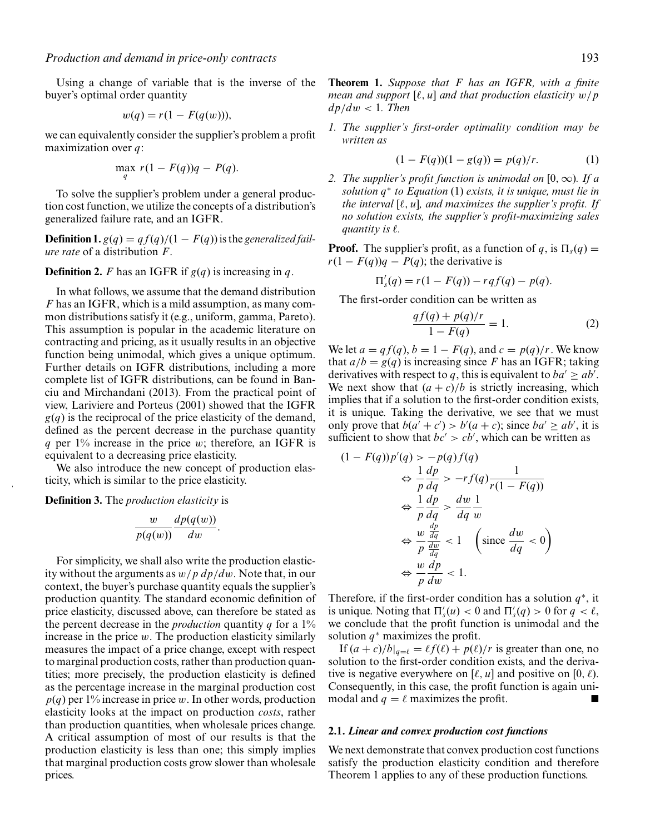Using a change of variable that is the inverse of the buyer's optimal order quantity

$$
w(q) = r(1 - F(q(w))),
$$

we can equivalently consider the supplier's problem a profit maximization over *q*:

$$
\max_{q} r(1 - F(q))q - P(q).
$$

To solve the supplier's problem under a general production cost function, we utilize the concepts of a distribution's generalized failure rate, and an IGFR.

**Definition 1.**  $g(q) = \frac{q f(q)}{(1 - F(q))}$  is the *generalized failure rate* of a distribution *F*.

## **Definition 2.** *F* has an IGFR if  $g(q)$  is increasing in *q*.

In what follows, we assume that the demand distribution *F* has an IGFR, which is a mild assumption, as many common distributions satisfy it (e.g., uniform, gamma, Pareto). This assumption is popular in the academic literature on contracting and pricing, as it usually results in an objective function being unimodal, which gives a unique optimum. Further details on IGFR distributions, including a more complete list of IGFR distributions, can be found in Banciu and Mirchandani (2013). From the practical point of view, Lariviere and Porteus (2001) showed that the IGFR  $g(q)$  is the reciprocal of the price elasticity of the demand, defined as the percent decrease in the purchase quantity *q* per 1% increase in the price w; therefore, an IGFR is equivalent to a decreasing price elasticity.

We also introduce the new concept of production elasticity, which is similar to the price elasticity.

#### **Definition 3.** The *production elasticity* is

Downloaded by [190.233.21.246] at 07:10 11 December 2014

$$
\frac{w}{p(q(w))}\frac{dp(q(w))}{dw}.
$$

For simplicity, we shall also write the production elasticity without the arguments as w/*p dp*/*d*w. Note that, in our context, the buyer's purchase quantity equals the supplier's production quantity. The standard economic definition of price elasticity, discussed above, can therefore be stated as the percent decrease in the *production* quantity *q* for a 1% increase in the price  $w$ . The production elasticity similarly measures the impact of a price change, except with respect to marginal production costs, rather than production quantities; more precisely, the production elasticity is defined as the percentage increase in the marginal production cost  $p(q)$  per 1% increase in price w. In other words, production elasticity looks at the impact on production *costs*, rather than production quantities, when wholesale prices change. A critical assumption of most of our results is that the production elasticity is less than one; this simply implies that marginal production costs grow slower than wholesale prices.

**Theorem 1.** *Suppose that F has an IGFR, with a finite mean and support*  $[\ell, u]$  *and that production elasticity*  $w/p$ *d p*/*d*w < 1*. Then*

*1. The supplier's first-order optimality condition may be written as*

$$
(1 - F(q))(1 - g(q)) = p(q)/r.
$$
 (1)

*2. The supplier's profit function is unimodal on* [0,  $\infty$ ). If a *solution q*<sup>∗</sup> *to Equation* (1) *exists, it is unique, must lie in the interval* [ℓ, *u*]*, and maximizes the supplier's profit. If no solution exists, the supplier's profit-maximizing sales quantity is*  $\ell$ *.* 

**Proof.** The supplier's profit, as a function of  $q$ , is  $\Pi_s(q)$  =  $r(1 - F(q))q - P(q)$ ; the derivative is

$$
\Pi'_{s}(q) = r(1 - F(q)) - r q f(q) - p(q).
$$

The first-order condition can be written as

$$
\frac{qf(q) + p(q)/r}{1 - F(q)} = 1.
$$
 (2)

We let  $a = q f(q)$ ,  $b = 1 - F(q)$ , and  $c = p(q)/r$ . We know that  $a/b = g(q)$  is increasing since *F* has an IGFR; taking derivatives with respect to q, this is equivalent to  $ba' \ge ab'$ . We next show that  $(a + c)/b$  is strictly increasing, which implies that if a solution to the first-order condition exists, it is unique. Taking the derivative, we see that we must only prove that  $b(a' + c') > b'(a + c)$ ; since  $ba' \ge ab'$ , it is sufficient to show that  $bc' > cb'$ , which can be written as

$$
(1 - F(q))p'(q) > -p(q)f(q)
$$
  
\n
$$
\Leftrightarrow \frac{1}{p}\frac{dp}{dq} > -rf(q)\frac{1}{r(1 - F(q))}
$$
  
\n
$$
\Leftrightarrow \frac{1}{p}\frac{dp}{dq} > \frac{dw}{dq}\frac{1}{w}
$$
  
\n
$$
\Leftrightarrow \frac{w}{p}\frac{\frac{dp}{dq}}{\frac{dw}{dq}} < 1 \quad \left(\text{since } \frac{dw}{dq} < 0\right)
$$
  
\n
$$
\Leftrightarrow \frac{w}{p}\frac{dp}{dw} < 1.
$$

Therefore, if the first-order condition has a solution *q*∗, it is unique. Noting that  $\Pi'_s(u) < 0$  and  $\Pi'_s(q) > 0$  for  $q < \ell$ , we conclude that the profit function is unimodal and the solution *q*<sup>∗</sup> maximizes the profit.

If  $(a + c)/b|_{a=\ell} = \ell f(\ell) + p(\ell)/r$  is greater than one, no solution to the first-order condition exists, and the derivative is negative everywhere on  $[\ell, u]$  and positive on  $[0, \ell)$ . Consequently, in this case, the profit function is again unimodal and  $q = \ell$  maximizes the profit.

#### **2.1.** *Linear and convex production cost functions*

We next demonstrate that convex production cost functions satisfy the production elasticity condition and therefore Theorem 1 applies to any of these production functions.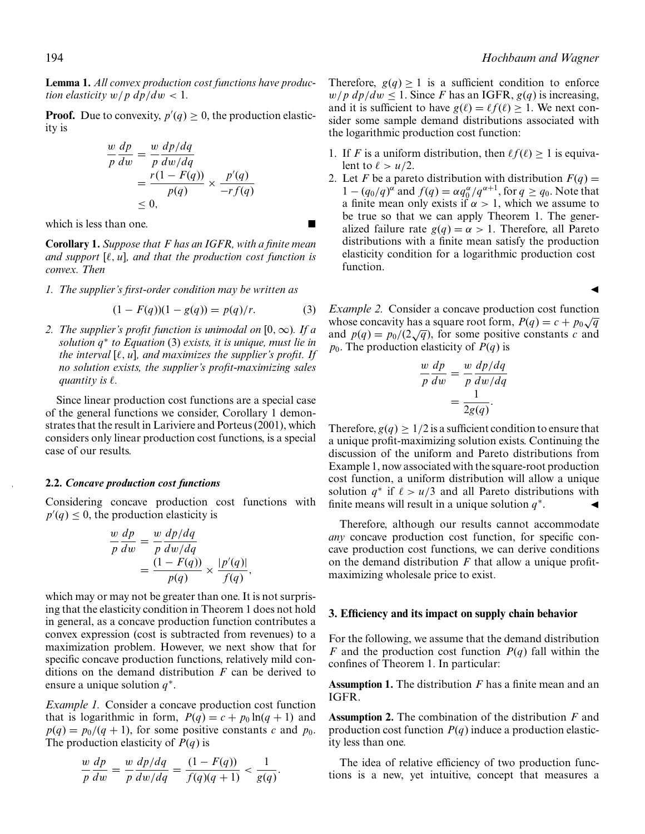**Lemma 1.** *All convex production cost functions have production elasticity*  $w/p \, dp/dw < 1$ *.* 

**Proof.** Due to convexity,  $p'(q) \ge 0$ , the production elasticity is

$$
\frac{w}{p}\frac{dp}{dw} = \frac{w}{p}\frac{dp/dq}{dw/dq}
$$
  
= 
$$
\frac{r(1 - F(q))}{p(q)} \times \frac{p'(q)}{-rf(q)}
$$
  

$$
\leq 0,
$$

which is less than one.

**Corollary 1.** *Suppose that F has an IGFR, with a finite mean and support* [ℓ, *u*]*, and that the production cost function is convex. Then*

*1. The supplier's first-order condition may be written as*

$$
(1 - F(q))(1 - g(q)) = p(q)/r.
$$
 (3)

*2. The supplier's profit function is unimodal on* [0,  $\infty$ ). If a *solution q*<sup>∗</sup> *to Equation* (3) *exists, it is unique, must lie in the interval* [ℓ, *u*]*, and maximizes the supplier's profit. If no solution exists, the supplier's profit-maximizing sales quantity is*  $\ell$ *.* 

Since linear production cost functions are a special case of the general functions we consider, Corollary 1 demonstrates that the result in Lariviere and Porteus (2001), which considers only linear production cost functions, is a special case of our results.

#### **2.2.** *Concave production cost functions*

Considering concave production cost functions with  $p'(q) \leq 0$ , the production elasticity is

$$
\frac{w}{p}\frac{dp}{dw} = \frac{w}{p}\frac{dp/dq}{dw/dq}
$$

$$
= \frac{(1 - F(q))}{p(q)} \times \frac{|p'(q)|}{f(q)},
$$

which may or may not be greater than one. It is not surprising that the elasticity condition in Theorem 1 does not hold in general, as a concave production function contributes a convex expression (cost is subtracted from revenues) to a maximization problem. However, we next show that for specific concave production functions, relatively mild conditions on the demand distribution *F* can be derived to ensure a unique solution *q*∗.

*Example 1.* Consider a concave production cost function that is logarithmic in form,  $P(q) = c + p_0 \ln(q + 1)$  and  $p(q) = p_0/(q + 1)$ , for some positive constants *c* and  $p_0$ . The production elasticity of *P*(*q*) is

$$
\frac{w}{p}\frac{dp}{dw} = \frac{w}{p}\frac{dp/dq}{dw/dq} = \frac{(1 - F(q))}{f(q)(q+1)} < \frac{1}{g(q)}.
$$

Therefore,  $g(q) > 1$  is a sufficient condition to enforce  $w/p \, dp/dw \leq 1$ . Since *F* has an IGFR,  $g(q)$  is increasing, and it is sufficient to have  $g(\ell) = \ell f(\ell) > 1$ . We next consider some sample demand distributions associated with the logarithmic production cost function:

- 1. If *F* is a uniform distribution, then  $\ell f(\ell) \geq 1$  is equivalent to  $\ell > u/2$ .
- 2. Let *F* be a pareto distribution with distribution  $F(q) =$  $1 - (q_0/q)^\alpha$  and  $f(q) = \alpha q_0^\alpha/q^{\alpha+1}$ , for  $q \ge q_0$ . Note that a finite mean only exists if  $\alpha > 1$ , which we assume to be true so that we can apply Theorem 1. The generalized failure rate  $g(q) = \alpha > 1$ . Therefore, all Pareto distributions with a finite mean satisfy the production elasticity condition for a logarithmic production cost function.

 $\blacktriangleleft$ 

*Example 2.* Consider a concave production cost function whose concavity has a square root form,  $P(q) = c + p_0 \sqrt{q}$ and  $p(q) = p_0/(2\sqrt{q})$ , for some positive constants *c* and  $p_0$ . The production elasticity of  $P(q)$  is

$$
\frac{w}{p}\frac{dp}{dw} = \frac{w}{p}\frac{dp/dq}{dw/dq}
$$

$$
= \frac{1}{2g(q)}.
$$

Therefore,  $g(q) \geq 1/2$  is a sufficient condition to ensure that a unique profit-maximizing solution exists. Continuing the discussion of the uniform and Pareto distributions from Example 1, now associated with the square-root production cost function, a uniform distribution will allow a unique solution  $q^*$  if  $\ell > u/3$  and all Pareto distributions with finite means will result in a unique solution  $q^*$ .

Therefore, although our results cannot accommodate *any* concave production cost function, for specific concave production cost functions, we can derive conditions on the demand distribution *F* that allow a unique profitmaximizing wholesale price to exist.

## **3. Efficiency and its impact on supply chain behavior**

For the following, we assume that the demand distribution *F* and the production cost function  $P(q)$  fall within the confines of Theorem 1. In particular:

**Assumption 1.** The distribution *F* has a finite mean and an IGFR.

**Assumption 2.** The combination of the distribution *F* and production cost function *P*(*q*) induce a production elasticity less than one.

The idea of relative efficiency of two production functions is a new, yet intuitive, concept that measures a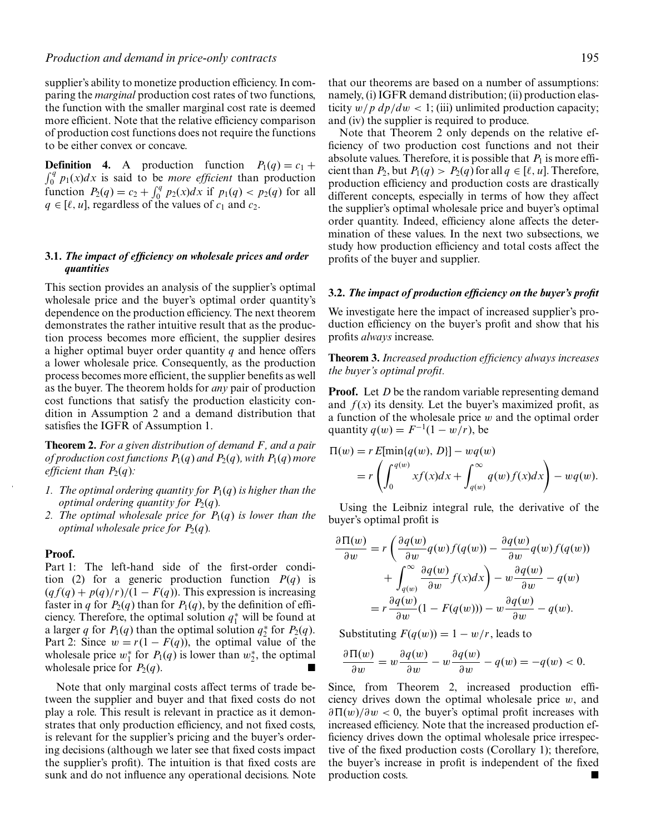supplier's ability to monetize production efficiency. In comparing the *marginal* production cost rates of two functions, the function with the smaller marginal cost rate is deemed more efficient. Note that the relative efficiency comparison of production cost functions does not require the functions to be either convex or concave.

**Definition 4.** A production function  $P_1(q) = c_1 + c_2$  $\int_0^q p_1(x)dx$  is said to be *more efficient* than production function  $P_2(q) = c_2 + \int_0^q p_2(x) dx$  if  $p_1(q) < p_2(q)$  for all  $q \in [\ell, u]$ , regardless of the values of  $c_1$  and  $c_2$ .

## **3.1.** *The impact of efficiency on wholesale prices and order quantities*

This section provides an analysis of the supplier's optimal wholesale price and the buyer's optimal order quantity's dependence on the production efficiency. The next theorem demonstrates the rather intuitive result that as the production process becomes more efficient, the supplier desires a higher optimal buyer order quantity *q* and hence offers a lower wholesale price. Consequently, as the production process becomes more efficient, the supplier benefits as well as the buyer. The theorem holds for *any* pair of production cost functions that satisfy the production elasticity condition in Assumption 2 and a demand distribution that satisfies the IGFR of Assumption 1.

**Theorem 2.** *For a given distribution of demand F, and a pair of production cost functions*  $P_1(q)$  *and*  $P_2(q)$ *, with*  $P_1(q)$  *more efficient than*  $P_2(q)$ *:* 

- *1. The optimal ordering quantity for P*1(*q*) *is higher than the optimal ordering quantity for*  $P_2(q)$ *.*
- *2. The optimal wholesale price for P*1(*q*) *is lower than the optimal wholesale price for*  $P_2(q)$ *.*

#### **Proof.**

Downloaded by [190.233.21.246] at 07:10 11 December 2014

Part 1: The left-hand side of the first-order condition (2) for a generic production function  $P(q)$  is  $(q f(q) + p(q)/r)/(1 - F(q))$ . This expression is increasing faster in *q* for  $P_2(q)$  than for  $P_1(q)$ , by the definition of efficiency. Therefore, the optimal solution  $q_1^*$  will be found at a larger *q* for *P*<sub>1</sub>(*q*) than the optimal solution  $q_2^*$  for *P*<sub>2</sub>(*q*). Part 2: Since  $w = r(1 - F(q))$ , the optimal value of the wholesale price  $w_1^*$  for  $P_1(q)$  is lower than  $w_2^*$ , the optimal wholesale price for  $P_2(q)$ .

Note that only marginal costs affect terms of trade between the supplier and buyer and that fixed costs do not play a role. This result is relevant in practice as it demonstrates that only production efficiency, and not fixed costs, is relevant for the supplier's pricing and the buyer's ordering decisions (although we later see that fixed costs impact the supplier's profit). The intuition is that fixed costs are sunk and do not influence any operational decisions. Note that our theorems are based on a number of assumptions: namely, (i) IGFR demand distribution; (ii) production elasticity  $w/p \, dp/dw < 1$ ; (iii) unlimited production capacity; and (iv) the supplier is required to produce.

Note that Theorem 2 only depends on the relative efficiency of two production cost functions and not their absolute values. Therefore, it is possible that  $P_1$  is more efficient than  $P_2$ , but  $P_1(q) > P_2(q)$  for all  $q \in [\ell, u]$ . Therefore, production efficiency and production costs are drastically different concepts, especially in terms of how they affect the supplier's optimal wholesale price and buyer's optimal order quantity. Indeed, efficiency alone affects the determination of these values. In the next two subsections, we study how production efficiency and total costs affect the profits of the buyer and supplier.

#### **3.2.** *The impact of production efficiency on the buyer's profit*

We investigate here the impact of increased supplier's production efficiency on the buyer's profit and show that his profits *always* increase.

**Theorem 3.** *Increased production efficiency always increases the buyer's optimal profit.*

**Proof.** Let *D* be the random variable representing demand and  $f(x)$  its density. Let the buyer's maximized profit, as a function of the wholesale price  $w$  and the optimal order quantity  $q(w) = F^{-1}(1 - w/r)$ , be

$$
\Pi(w) = r E[\min\{q(w), D\}] - wq(w)
$$
  
= 
$$
r \left( \int_0^{q(w)} x f(x) dx + \int_{q(w)}^{\infty} q(w) f(x) dx \right) - wq(w).
$$

Using the Leibniz integral rule, the derivative of the buyer's optimal profit is

$$
\frac{\partial \Pi(w)}{\partial w} = r \left( \frac{\partial q(w)}{\partial w} q(w) f(q(w)) - \frac{\partial q(w)}{\partial w} q(w) f(q(w)) \right. \n+ \int_{q(w)}^{\infty} \frac{\partial q(w)}{\partial w} f(x) dx \right) - w \frac{\partial q(w)}{\partial w} - q(w) \n= r \frac{\partial q(w)}{\partial w} (1 - F(q(w))) - w \frac{\partial q(w)}{\partial w} - q(w).
$$

Substituting  $F(q(w)) = 1 - w/r$ , leads to

$$
\frac{\partial \Pi(w)}{\partial w} = w \frac{\partial q(w)}{\partial w} - w \frac{\partial q(w)}{\partial w} - q(w) = -q(w) < 0.
$$

Since, from Theorem 2, increased production efficiency drives down the optimal wholesale price  $w$ , and  $\partial \Pi(w)/\partial w < 0$ , the buyer's optimal profit increases with increased efficiency. Note that the increased production efficiency drives down the optimal wholesale price irrespective of the fixed production costs (Corollary 1); therefore, the buyer's increase in profit is independent of the fixed production costs.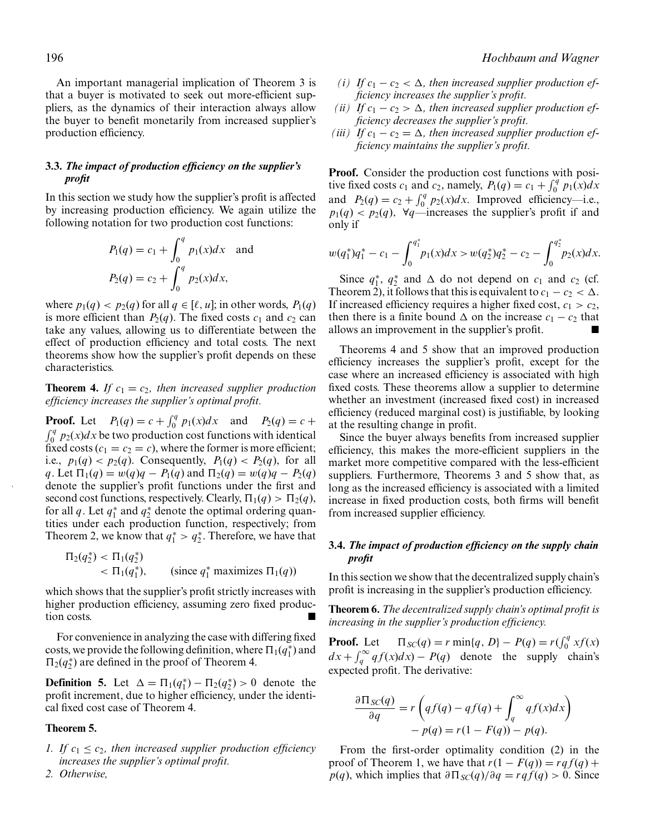An important managerial implication of Theorem 3 is that a buyer is motivated to seek out more-efficient suppliers, as the dynamics of their interaction always allow the buyer to benefit monetarily from increased supplier's production efficiency.

#### **3.3.** *The impact of production efficiency on the supplier's profit*

In this section we study how the supplier's profit is affected by increasing production efficiency. We again utilize the following notation for two production cost functions:

$$
P_1(q) = c_1 + \int_0^q p_1(x)dx \text{ and}
$$
  

$$
P_2(q) = c_2 + \int_0^q p_2(x)dx,
$$

where  $p_1(q) < p_2(q)$  for all  $q \in [\ell, u]$ ; in other words,  $P_1(q)$ is more efficient than  $P_2(q)$ . The fixed costs  $c_1$  and  $c_2$  can take any values, allowing us to differentiate between the effect of production efficiency and total costs. The next theorems show how the supplier's profit depends on these characteristics.

**Theorem 4.** *If*  $c_1 = c_2$ *, then increased supplier production efficiency increases the supplier's optimal profit.*

**Proof.** Let  $P_1(q) = c + \int_0^q p_1(x) dx$  and  $P_2(q) = c +$  $\int_0^q p_2(x)dx$  be two production cost functions with identical fixed costs  $(c_1 = c_2 = c)$ , where the former is more efficient; i.e.,  $p_1(q) < p_2(q)$ . Consequently,  $P_1(q) < P_2(q)$ , for all  $q$ . Let  $\Pi_1(q) = w(q)q - P_1(q)$  and  $\Pi_2(q) = w(q)q - P_2(q)$ denote the supplier's profit functions under the first and second cost functions, respectively. Clearly,  $\Pi_1(q) > \Pi_2(q)$ , for all *q*. Let  $q_1^*$  and  $q_2^*$  denote the optimal ordering quantities under each production function, respectively; from Theorem 2, we know that  $q_1^* > q_2^*$ . Therefore, we have that

$$
\Pi_2(q_2^*) < \Pi_1(q_2^*)
$$
\n
$$
< \Pi_1(q_1^*), \qquad \text{(since } q_1^* \text{ maximizes } \Pi_1(q) \text{)}
$$

which shows that the supplier's profit strictly increases with higher production efficiency, assuming zero fixed production costs.

For convenience in analyzing the case with differing fixed costs, we provide the following definition, where  $\Pi_1(q_1^*)$  and  $\Pi_2(q_2^*)$  are defined in the proof of Theorem 4.

**Definition 5.** Let  $\Delta = \Pi_1(q_1^*) - \Pi_2(q_2^*) > 0$  denote the profit increment, due to higher efficiency, under the identical fixed cost case of Theorem 4.

# **Theorem 5.**

- *1. If*  $c_1 \leq c_2$ *, then increased supplier production efficiency increases the supplier's optimal profit.*
- *2. Otherwise,*
- *(i)* If  $c_1 c_2 < \Delta$ , then increased supplier production ef*ficiency increases the supplier's profit.*
- (*ii*) If  $c_1 c_2 > \Delta$ , then increased supplier production ef*ficiency decreases the supplier's profit.*
- *(iii)* If  $c_1 c_2 = \Delta$ , then increased supplier production ef*ficiency maintains the supplier's profit.*

**Proof.** Consider the production cost functions with positive fixed costs  $c_1$  and  $c_2$ , namely,  $P_1(q) = c_1 + \int_0^q p_1(x) dx$ and  $P_2(q) = c_2 + \int_0^q p_2(x)dx$ . Improved efficiency—i.e.,  $p_1(q) < p_2(q)$ ,  $\forall q$ —increases the supplier's profit if and only if

$$
w(q_1^*)q_1^* - c_1 - \int_0^{q_1^*} p_1(x)dx > w(q_2^*)q_2^* - c_2 - \int_0^{q_2^*} p_2(x)dx.
$$

Since  $q_1^*$ ,  $q_2^*$  and  $\Delta$  do not depend on  $c_1$  and  $c_2$  (cf. Theorem 2), it follows that this is equivalent to  $c_1 - c_2 < \Delta$ . If increased efficiency requires a higher fixed cost,  $c_1 > c_2$ , then there is a finite bound  $\Delta$  on the increase  $c_1 - c_2$  that allows an improvement in the supplier's profit.

Theorems 4 and 5 show that an improved production efficiency increases the supplier's profit, except for the case where an increased efficiency is associated with high fixed costs. These theorems allow a supplier to determine whether an investment (increased fixed cost) in increased efficiency (reduced marginal cost) is justifiable, by looking at the resulting change in profit.

Since the buyer always benefits from increased supplier efficiency, this makes the more-efficient suppliers in the market more competitive compared with the less-efficient suppliers. Furthermore, Theorems 3 and 5 show that, as long as the increased efficiency is associated with a limited increase in fixed production costs, both firms will benefit from increased supplier efficiency.

# **3.4.** *The impact of production efficiency on the supply chain profit*

In this section we show that the decentralized supply chain's profit is increasing in the supplier's production efficiency.

**Theorem 6.** *The decentralized supply chain's optimal profit is increasing in the supplier's production efficiency.*

**Proof.** Let  $\prod_{S}C(q) = r \min\{q, D\} - P(q) = r(\int_0^q xf(x))$  $dx + \int_{q}^{\infty} q f(x) dx$  – *P*(*q*) denote the supply chain's expected profit. The derivative:

$$
\frac{\partial \Pi_{SC}(q)}{\partial q} = r \left( qf(q) - qf(q) + \int_q^{\infty} qf(x)dx \right) - p(q) = r(1 - F(q)) - p(q).
$$

From the first-order optimality condition (2) in the proof of Theorem 1, we have that  $r(1 - F(q)) = r q f(q) + r q$ *p*(*q*), which implies that  $\partial \Pi_{SC}(q)/\partial q = r q f(q) > 0$ . Since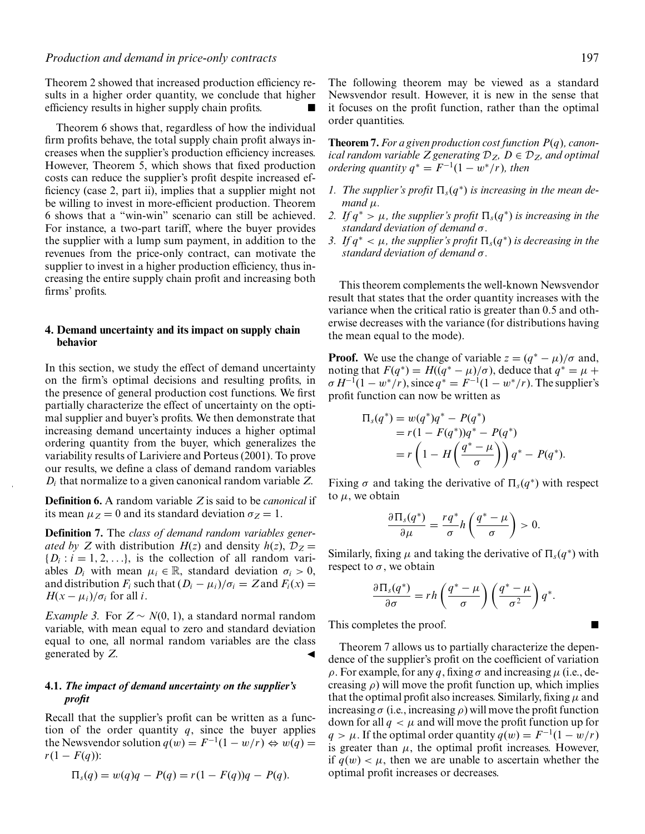Theorem 2 showed that increased production efficiency results in a higher order quantity, we conclude that higher efficiency results in higher supply chain profits. !

Theorem 6 shows that, regardless of how the individual firm profits behave, the total supply chain profit always increases when the supplier's production efficiency increases. However, Theorem 5, which shows that fixed production costs can reduce the supplier's profit despite increased efficiency (case 2, part ii), implies that a supplier might not be willing to invest in more-efficient production. Theorem 6 shows that a "win-win" scenario can still be achieved. For instance, a two-part tariff, where the buyer provides the supplier with a lump sum payment, in addition to the revenues from the price-only contract, can motivate the supplier to invest in a higher production efficiency, thus increasing the entire supply chain profit and increasing both firms' profits.

# **4. Demand uncertainty and its impact on supply chain behavior**

In this section, we study the effect of demand uncertainty on the firm's optimal decisions and resulting profits, in the presence of general production cost functions. We first partially characterize the effect of uncertainty on the optimal supplier and buyer's profits. We then demonstrate that increasing demand uncertainty induces a higher optimal ordering quantity from the buyer, which generalizes the variability results of Lariviere and Porteus (2001). To prove our results, we define a class of demand random variables *Di* that normalize to a given canonical random variable *Z*.

Downloaded by [190.233.21.246] at 07:10 11 December 2014

**Definition 6.** A random variable *Z* is said to be *canonical* if its mean  $\mu_Z = 0$  and its standard deviation  $\sigma_Z = 1$ .

**Definition 7.** The *class of demand random variables generated by Z* with distribution  $H(z)$  and density  $h(z)$ ,  $\mathcal{D}_Z =$  $\{D_i : i = 1, 2, \ldots\}$ , is the collection of all random variables  $D_i$  with mean  $\mu_i \in \mathbb{R}$ , standard deviation  $\sigma_i > 0$ , and distribution  $F_i$  such that  $(D_i - \mu_i)/\sigma_i = Z$  and  $F_i(x) =$ *H*( $x - μ<sub>i</sub>$ )/ $σ<sub>i</sub>$  for all *i*.

*Example 3.* For  $Z \sim N(0, 1)$ , a standard normal random variable, with mean equal to zero and standard deviation equal to one, all normal random variables are the class generated by Z.

## **4.1.** *The impact of demand uncertainty on the supplier's profit*

Recall that the supplier's profit can be written as a function of the order quantity  $q$ , since the buyer applies the Newsvendor solution  $q(w) = F^{-1}(1 - w/r) \Leftrightarrow w(q) =$  $r(1 - F(q))$ :

$$
\Pi_s(q) = w(q)q - P(q) = r(1 - F(q))q - P(q).
$$

The following theorem may be viewed as a standard Newsvendor result. However, it is new in the sense that it focuses on the profit function, rather than the optimal order quantities.

**Theorem 7.** *For a given production cost function P*(*q*)*, canonical random variable Z generating*  $D_Z$ ,  $D \in D_Z$ , and optimal *ordering quantity*  $q^* = F^{-1}(1 - w^*/r)$ *, then* 

- *1. The supplier's profit*  $\Pi_s(q^*)$  *is increasing in the mean de* $m$ *and*  $\mu$ *.*
- *2. If*  $q^* > \mu$ *, the supplier's profit*  $\prod_s(q^*)$  *is increasing in the standard deviation of demand* σ*.*
- *3. If*  $q^* < \mu$ *, the supplier's profit*  $\Pi_s(q^*)$  *is decreasing in the standard deviation of demand* σ*.*

This theorem complements the well-known Newsvendor result that states that the order quantity increases with the variance when the critical ratio is greater than 0.5 and otherwise decreases with the variance (for distributions having the mean equal to the mode).

**Proof.** We use the change of variable  $z = (q^* - \mu)/\sigma$  and, noting that  $F(q^*) = H((q^* - \mu)/\sigma)$ , deduce that  $q^* = \mu + \sigma$  $\sigma H^{-1}(1 - w^*/r)$ , since  $q^* = F^{-1}(1 - w^*/r)$ . The supplier's profit function can now be written as

$$
\Pi_s(q^*) = w(q^*)q^* - P(q^*)
$$
  
=  $r(1 - F(q^*))q^* - P(q^*)$   
=  $r\left(1 - H\left(\frac{q^* - \mu}{\sigma}\right)\right)q^* - P(q^*).$ 

Fixing  $\sigma$  and taking the derivative of  $\Pi_s(q^*)$  with respect to  $\mu$ , we obtain

$$
\frac{\partial \Pi_s(q^*)}{\partial \mu} = \frac{rq^*}{\sigma} h\left(\frac{q^* - \mu}{\sigma}\right) > 0.
$$

Similarly, fixing  $\mu$  and taking the derivative of  $\Pi_s(q^*)$  with respect to  $\sigma$ , we obtain

$$
\frac{\partial \Pi_s(q^*)}{\partial \sigma} = rh \left(\frac{q^* - \mu}{\sigma}\right) \left(\frac{q^* - \mu}{\sigma^2}\right) q^*.
$$

This completes the proof.

Theorem 7 allows us to partially characterize the dependence of the supplier's profit on the coefficient of variation  $\rho$ . For example, for any q, fixing  $\sigma$  and increasing  $\mu$  (i.e., decreasing  $\rho$ ) will move the profit function up, which implies that the optimal profit also increases. Similarly, fixing  $\mu$  and increasing  $\sigma$  (i.e., increasing  $\rho$ ) will move the profit function down for all  $q < \mu$  and will move the profit function up for  $q > \mu$ . If the optimal order quantity  $q(w) = F^{-1}(1 - w/r)$ is greater than  $\mu$ , the optimal profit increases. However, if  $q(w) < \mu$ , then we are unable to ascertain whether the optimal profit increases or decreases.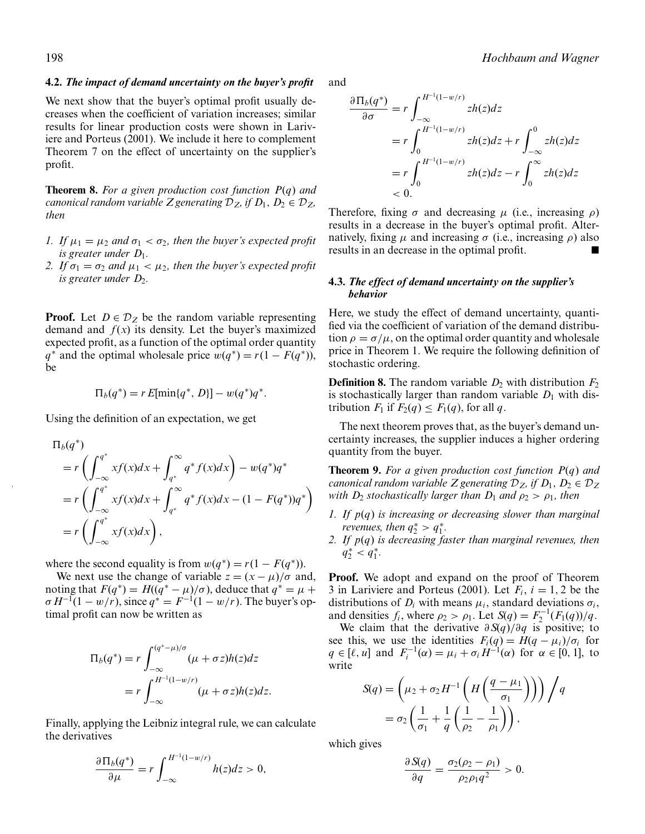#### **4.2.** *The impact of demand uncertainty on the buyer's profit*

We next show that the buyer's optimal profit usually decreases when the coefficient of variation increases; similar results for linear production costs were shown in Lariviere and Porteus (2001). We include it here to complement Theorem 7 on the effect of uncertainty on the supplier's profit.

**Theorem 8.** *For a given production cost function P*(*q*) *and canonical random variable Z generating*  $D_Z$ , *if*  $D_1$ ,  $D_2 \in D_Z$ , *then*

- *1. If*  $\mu_1 = \mu_2$  *and*  $\sigma_1 < \sigma_2$ *, then the buyer's expected profit is greater under D*1*.*
- *2. If*  $\sigma_1 = \sigma_2$  *and*  $\mu_1 < \mu_2$ *, then the buyer's expected profit is greater under D*<sub>2</sub>*.*

**Proof.** Let  $D \in \mathcal{D}_Z$  be the random variable representing demand and  $f(x)$  its density. Let the buyer's maximized expected profit, as a function of the optimal order quantity *q*<sup>∗</sup> and the optimal wholesale price  $w(q^*) = r(1 - F(q^*)),$ be

$$
\Pi_b(q^*) = r E[\min\{q^*, D\}] - w(q^*)q^*.
$$

Using the definition of an expectation, we get

$$
\Pi_b(q^*)
$$
\n
$$
= r \left( \int_{-\infty}^{q^*} x f(x) dx + \int_{q^*}^{\infty} q^* f(x) dx \right) - w(q^*) q^*
$$
\n
$$
= r \left( \int_{-\infty}^{q^*} x f(x) dx + \int_{q^*}^{\infty} q^* f(x) dx - (1 - F(q^*)) q^* \right)
$$
\n
$$
= r \left( \int_{-\infty}^{q^*} x f(x) dx \right),
$$

where the second equality is from  $w(q^*) = r(1 - F(q^*))$ .

We next use the change of variable  $z = (x - \mu)/\sigma$  and, noting that  $F(q^*) = H((q^* - \mu)/\sigma)$ , deduce that  $q^* = \mu +$  $\sigma H^{-1}(1 - w/r)$ , since  $q^* = F^{-1}(1 - w/r)$ . The buyer's optimal profit can now be written as

$$
\Pi_b(q^*) = r \int_{-\infty}^{(q^* - \mu)/\sigma} (\mu + \sigma z) h(z) dz
$$

$$
= r \int_{-\infty}^{H^{-1}(1 - w/r)} (\mu + \sigma z) h(z) dz.
$$

Finally, applying the Leibniz integral rule, we can calculate the derivatives

$$
\frac{\partial \Pi_b(q^*)}{\partial \mu} = r \int_{-\infty}^{H^{-1}(1-w/r)} h(z) dz > 0,
$$

and

$$
\frac{\partial \Pi_b(q^*)}{\partial \sigma} = r \int_{-\infty}^{H^{-1}(1-w/r)} zh(z)dz
$$
  
=  $r \int_0^{H^{-1}(1-w/r)} zh(z)dz + r \int_{-\infty}^0 zh(z)dz$   
=  $r \int_0^{H^{-1}(1-w/r)} zh(z)dz - r \int_0^{\infty} zh(z)dz$   
< 0.

Therefore, fixing  $\sigma$  and decreasing  $\mu$  (i.e., increasing  $\rho$ ) results in a decrease in the buyer's optimal profit. Alternatively, fixing  $\mu$  and increasing  $\sigma$  (i.e., increasing  $\rho$ ) also results in an decrease in the optimal profit.

#### **4.3.** *The effect of demand uncertainty on the supplier's behavior*

Here, we study the effect of demand uncertainty, quantified via the coefficient of variation of the demand distribution  $\rho = \sigma/\mu$ , on the optimal order quantity and wholesale price in Theorem 1. We require the following definition of stochastic ordering.

**Definition 8.** The random variable  $D_2$  with distribution  $F_2$ is stochastically larger than random variable  $D_1$  with distribution  $F_1$  if  $F_2(q) \leq F_1(q)$ , for all q.

The next theorem proves that, as the buyer's demand uncertainty increases, the supplier induces a higher ordering quantity from the buyer.

**Theorem 9.** *For a given production cost function P*(*q*) *and canonical random variable Z generating*  $D_Z$ , *if*  $D_1$ ,  $D_2 \in D_Z$ *with*  $D_2$  *stochastically larger than*  $D_1$  *and*  $\rho_2 > \rho_1$ *, then* 

- *1. If p*(*q*) *is increasing or decreasing slower than marginal revenues, then*  $q_2^* > q_1^*$ .
- *2. If p*(*q*) *is decreasing faster than marginal revenues, then*  $q_2^* < q_1^*$ .

**Proof.** We adopt and expand on the proof of Theorem 3 in Lariviere and Porteus (2001). Let  $F_i$ ,  $i = 1, 2$  be the distributions of  $D_i$  with means  $\mu_i$ , standard deviations  $\sigma_i$ , and densities  $f_i$ , where  $\rho_2 > \rho_1$ . Let  $S(q) = F_2^{-1}(F_1(q))/q$ .

We claim that the derivative ∂*S*(*q*)/∂*q* is positive; to see this, we use the identities  $F_i(q) = H(q - \mu_i)/\sigma_i$  for *q* ∈ [ $\ell$ , *u*] and  $F_i^{-1}(\alpha) = \mu_i + \sigma_i H^{-1}(\alpha)$  for  $\alpha \in [0, 1]$ , to write

$$
S(q) = \left(\mu_2 + \sigma_2 H^{-1} \left( H \left( \frac{q - \mu_1}{\sigma_1} \right) \right) \right) / q
$$
  
=  $\sigma_2 \left( \frac{1}{\sigma_1} + \frac{1}{q} \left( \frac{1}{\rho_2} - \frac{1}{\rho_1} \right) \right),$ 

which gives

$$
\frac{\partial S(q)}{\partial q} = \frac{\sigma_2(\rho_2 - \rho_1)}{\rho_2 \rho_1 q^2} > 0.
$$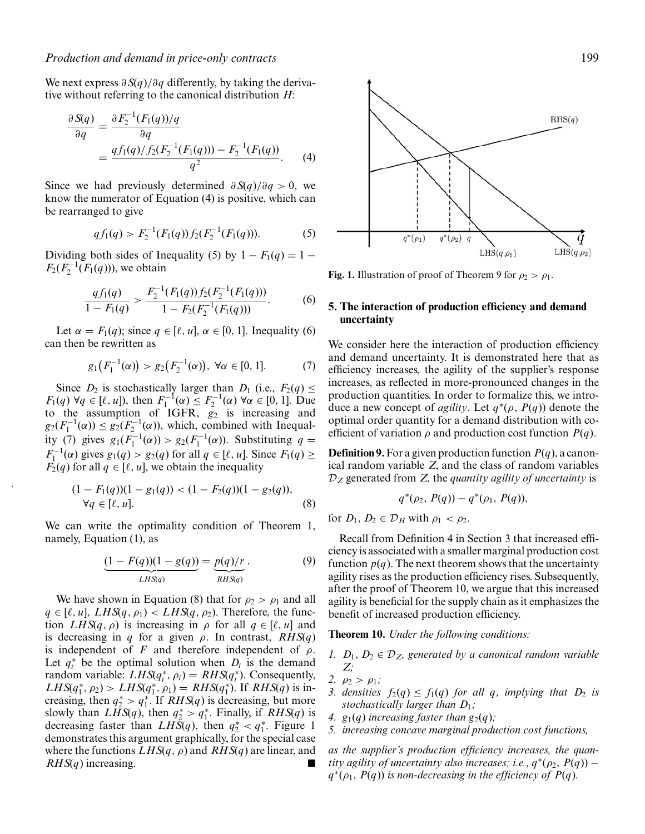We next express ∂*S*(*q*)/∂*q* differently, by taking the derivative without referring to the canonical distribution *H*:

$$
\frac{\partial S(q)}{\partial q} = \frac{\partial F_2^{-1}(F_1(q))/q}{\partial q} \n= \frac{q f_1(q)/f_2(F_2^{-1}(F_1(q))) - F_2^{-1}(F_1(q))}{q^2}.
$$
\n(4)

Since we had previously determined  $\partial S(q)/\partial q > 0$ , we know the numerator of Equation (4) is positive, which can be rearranged to give

$$
q f_1(q) > F_2^{-1}(F_1(q)) f_2(F_2^{-1}(F_1(q))). \tag{5}
$$

Dividing both sides of Inequality (5) by  $1 - F_1(q) = 1 F_2(F_2^{-1}(F_1(q)))$ , we obtain

$$
\frac{qf_1(q)}{1 - F_1(q)} > \frac{F_2^{-1}(F_1(q))f_2(F_2^{-1}(F_1(q)))}{1 - F_2(F_2^{-1}(F_1(q)))}.\tag{6}
$$

Let  $\alpha = F_1(q)$ ; since  $q \in [\ell, u]$ ,  $\alpha \in [0, 1]$ . Inequality (6) can then be rewritten as

$$
g_1\big(F_1^{-1}(\alpha)\big) > g_2\big(F_2^{-1}(\alpha)\big), \ \forall \alpha \in [0, 1]. \tag{7}
$$

Since  $D_2$  is stochastically larger than  $D_1$  (i.e.,  $F_2(q) \le$ *F*<sub>1</sub>(*q*) ∀*q* ∈ [ $\ell$ , *u*]), then  $F_1^{-1}(\alpha) \le F_2^{-1}(\alpha)$  ∀ $\alpha \in [0, 1]$ . Due to the assumption of IGFR, *g*<sup>2</sup> is increasing and  $g_2(F_1^{-1}(\alpha)) \le g_2(F_2^{-1}(\alpha))$ , which, combined with Inequality (7) gives  $g_1(F_1^{-1}(\alpha)) > g_2(F_1^{-1}(\alpha))$ . Substituting  $q =$ *F*<sub>1</sub><sup>-1</sup>( $\alpha$ ) gives *g*<sub>1</sub>(*q*) > *g*<sub>2</sub>(*q*) for all *q* ∈ [ $\ell$ , *u*]. Since *F*<sub>1</sub>(*q*) ≥  $F_2(q)$  for all  $q \in [\ell, u]$ , we obtain the inequality

Downloaded by [190.233.21.246] at 07:10 11 December 2014

$$
(1 - F1(q))(1 - g1(q)) < (1 - F2(q))(1 - g2(q)),
$$
  
\n
$$
\forall q \in [\ell, u].
$$
 (8)

We can write the optimality condition of Theorem 1, namely, Equation (1), as

$$
\underbrace{(1 - F(q))(1 - g(q))}_{LHS(q)} = \underbrace{p(q)/r}_{RHS(q)}.\tag{9}
$$

We have shown in Equation (8) that for  $\rho_2 > \rho_1$  and all  $q \in [\ell, u]$ ,  $LHS(q, \rho_1) < LHS(q, \rho_2)$ . Therefore, the function *LHS*(*q*,  $\rho$ ) is increasing in  $\rho$  for all  $q \in [\ell, u]$  and is decreasing in *q* for a given  $\rho$ . In contrast,  $RHS(q)$ is independent of  $F$  and therefore independent of  $\rho$ . Let  $q_i^*$  be the optimal solution when  $D_i$  is the demand random variable:  $LHS(q_i^*, \rho_i) = RHS(q_i^*)$ . Consequently,  $LHS(q_1^*, \rho_2) > LHS(q_1^*, \rho_1) = RHS(q_1^*)$ . If  $RHS(q)$  is increasing, then  $q_2^* > q_1^*$ . If  $RHS(q)$  is decreasing, but more slowly than  $LHS(q)$ , then  $q_2^* > q_1^*$ . Finally, if  $RHS(q)$  is decreasing faster than *LHS*(*q*), then  $q_2^* < q_1^*$ . Figure 1 demonstrates this argument graphically, for the special case where the functions  $LHS(q, \rho)$  and  $RHS(q)$  are linear, and  $RHS(q)$  increasing.



**Fig. 1.** Illustration of proof of Theorem 9 for  $\rho_2 > \rho_1$ .

# **5. The interaction of production efficiency and demand uncertainty**

We consider here the interaction of production efficiency and demand uncertainty. It is demonstrated here that as efficiency increases, the agility of the supplier's response increases, as reflected in more-pronounced changes in the production quantities. In order to formalize this, we introduce a new concept of *agility*. Let *q*∗(ρ, *P*(*q*)) denote the optimal order quantity for a demand distribution with coefficient of variation  $\rho$  and production cost function  $P(q)$ .

**Definition 9.** For a given production function  $P(q)$ , a canonical random variable *Z*, and the class of random variables D*<sup>Z</sup>* generated from *Z*, the *quantity agility of uncertainty* is

$$
q^*(\rho_2, P(q)) - q^*(\rho_1, P(q)),
$$

for  $D_1, D_2 \in \mathcal{D}_H$  with  $\rho_1 < \rho_2$ .

Recall from Definition 4 in Section 3 that increased efficiency is associated with a smaller marginal production cost function  $p(q)$ . The next theorem shows that the uncertainty agility rises as the production efficiency rises. Subsequently, after the proof of Theorem 10, we argue that this increased agility is beneficial for the supply chain as it emphasizes the benefit of increased production efficiency.

**Theorem 10.** *Under the following conditions:*

*1.*  $D_1$ ,  $D_2 \in \mathcal{D}_Z$ , generated by a canonical random variable *Z;*

2. 
$$
\rho_2 > \rho_1
$$
;

- *3. densities*  $f_2(q) \le f_1(q)$  *for all q, implying that*  $D_2$  *is stochastically larger than D*1*;*
- *4.*  $g_1(q)$  increasing faster than  $g_2(q)$ ;
- *5. increasing concave marginal production cost functions,*

*as the supplier's production efficiency increases, the quantity agility of uncertainty also increases; i.e.,*  $q^*(\rho_2, P(q))$  *–*  $q^*(\rho_1, P(q))$  *is non-decreasing in the efficiency of P(q).*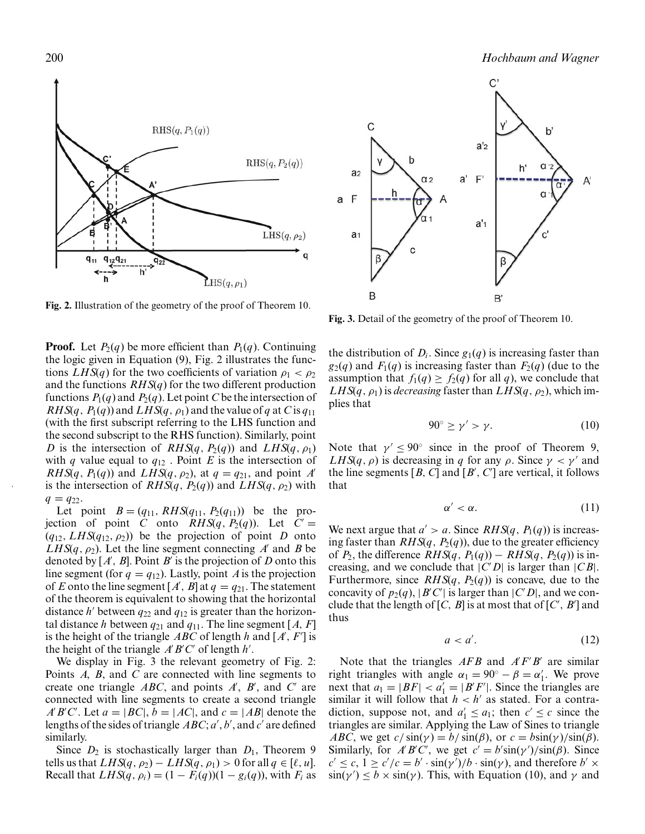

**Fig. 2.** Illustration of the geometry of the proof of Theorem 10.

**Proof.** Let  $P_2(q)$  be more efficient than  $P_1(q)$ . Continuing the logic given in Equation (9), Fig. 2 illustrates the functions *LHS*(*q*) for the two coefficients of variation  $\rho_1 < \rho_2$ and the functions *RHS*(*q*) for the two different production functions  $P_1(q)$  and  $P_2(q)$ . Let point C be the intersection of *RHS*(*q*, *P*<sub>1</sub>(*q*)) and *LHS*(*q*,  $\rho$ <sub>1</sub>) and the value of *q* at *C* is  $q_{11}$ (with the first subscript referring to the LHS function and the second subscript to the RHS function). Similarly, point *D* is the intersection of *RHS*(*q*, *P*<sub>2</sub>(*q*)) and *LHS*(*q*,  $\rho$ <sub>1</sub>) with *q* value equal to  $q_{12}$ . Point *E* is the intersection of *RHS*(*q*, *P*<sub>1</sub>(*q*)) and *LHS*(*q*,  $\rho$ <sub>2</sub>), at *q* = *q*<sub>21</sub>, and point *A*<sup> $\prime$ </sup> is the intersection of  $RHS(q, P_2(q))$  and  $LHS(q, \rho_2)$  with  $q = q_{22}.$ 

Let point  $B = (q_{11}, RHS(q_{11}, P_2(q_{11}))$  be the projection of point *C* onto *RHS* $(q, P_2(q))$ . Let  $C' =$  $(q_{12}, LHS(q_{12}, \rho_2))$  be the projection of point *D* onto *LHS*( $q$ ,  $\rho$ <sub>2</sub>). Let the line segment connecting *A'* and *B* be denoted by [*A*′ , *B*]. Point *B*′ is the projection of *D* onto this line segment (for  $q = q_{12}$ ). Lastly, point A is the projection of *E* onto the line segment  $[A', B]$  at  $q = q_{21}$ . The statement of the theorem is equivalent to showing that the horizontal distance *h*′ between *q*<sup>22</sup> and *q*<sup>12</sup> is greater than the horizontal distance *h* between  $q_{21}$  and  $q_{11}$ . The line segment [*A*, *F*] is the height of the triangle  $ABC$  of length h and  $[A, F']$  is the height of the triangle  $A'B'C'$  of length  $h'$ .

We display in Fig. 3 the relevant geometry of Fig. 2: Points *A*, *B*, and *C* are connected with line segments to create one triangle *ABC*, and points *A*′ , *B*′ , and *C*′ are connected with line segments to create a second triangle  $A'B'C'$ . Let  $a = |BC|$ ,  $b = |AC|$ , and  $c = |AB|$  denote the lengths of the sides of triangle *ABC*; *a*′ , *b*′ , and *c*′ are defined similarly.

Since  $D_2$  is stochastically larger than  $D_1$ , Theorem 9 tells us that  $LHS(q, \rho_2) - LHS(q, \rho_1) > 0$  for all  $q \in [\ell, u]$ . Recall that  $LHS(q, \rho_i) = (1 - F_i(q))(1 - g_i(q))$ , with  $F_i$  as



**Fig. 3.** Detail of the geometry of the proof of Theorem 10.

the distribution of  $D_i$ . Since  $g_1(q)$  is increasing faster than  $g_2(q)$  and  $F_1(q)$  is increasing faster than  $F_2(q)$  (due to the assumption that  $f_1(q) \ge f_2(q)$  for all q), we conclude that  $LHS(q, \rho_1)$  is *decreasing* faster than  $LHS(q, \rho_2)$ , which implies that

$$
90^{\circ} \ge \gamma' > \gamma. \tag{10}
$$

Note that  $\gamma' \le 90^\circ$  since in the proof of Theorem 9, *LHS*(*q*,  $\rho$ ) is decreasing in *q* for any  $\rho$ . Since  $\gamma < \gamma'$  and the line segments  $[B, C]$  and  $[B', C']$  are vertical, it follows that

$$
\alpha' < \alpha. \tag{11}
$$

We next argue that  $a' > a$ . Since  $RHS(q, P_1(q))$  is increasing faster than  $RHS(q, P_2(q))$ , due to the greater efficiency of  $P_2$ , the difference  $RHS(q, P_1(q)) - RHS(q, P_2(q))$  is increasing, and we conclude that  $|C'D|$  is larger than  $|CB|$ . Furthermore, since  $RHS(q, P<sub>2</sub>(q))$  is concave, due to the concavity of  $p_2(q)$ ,  $|B'C'|$  is larger than  $|C'D|$ , and we conclude that the length of  $[C, B]$  is at most that of  $[C', B']$  and thus

$$
a < a'.\tag{12}
$$

Note that the triangles *AFB* and *A'F'B'* are similar right triangles with angle  $\alpha_1 = 90^\circ - \beta = \alpha'_1$ . We prove next that  $a_1 = |BF| < a'_1 = |B'F'|$ . Since the triangles are similar it will follow that  $h < h'$  as stated. For a contradiction, suppose not, and  $a'_1 \le a_1$ ; then  $c' \le c$  since the triangles are similar. Applying the Law of Sines to triangle *ABC*, we get  $c/\sin(\gamma) = b/\sin(\beta)$ , or  $c = b\sin(\gamma)/\sin(\beta)$ . Similarly, for *A'B'C'*, we get  $c' = b' \sin(\gamma') / \sin(\beta)$ . Since  $c' \leq c, 1 \geq c'/c = b' \cdot \sin(\gamma')/b \cdot \sin(\gamma)$ , and therefore *b'* ×  $\sin(\gamma') \le b \times \sin(\gamma)$ . This, with Equation (10), and  $\gamma$  and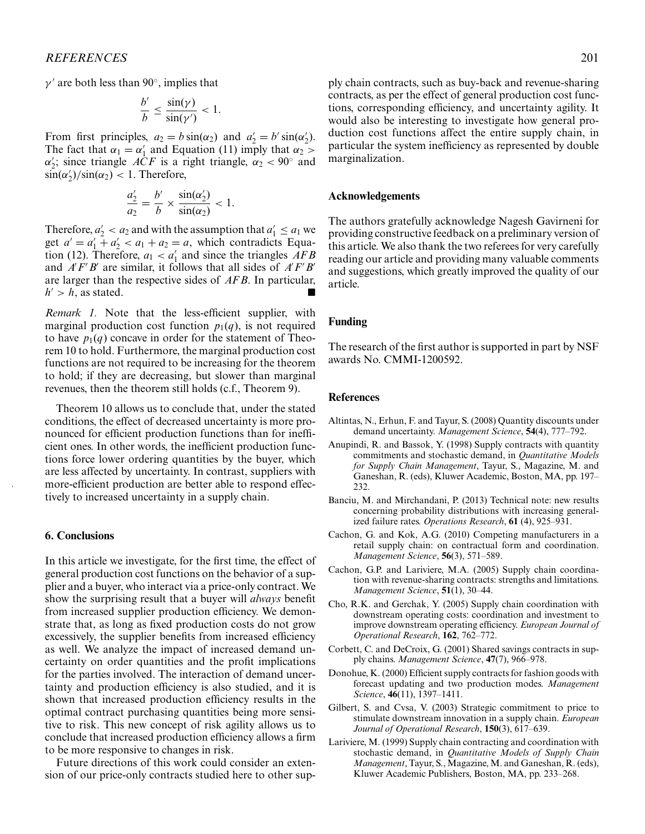$\gamma'$  are both less than 90 $\degree$ , implies that

$$
\frac{b'}{b} \le \frac{\sin(\gamma)}{\sin(\gamma')} < 1.
$$

From first principles,  $a_2 = b \sin(\alpha_2)$  and  $a'_2 = b' \sin(\alpha'_2)$ . The fact that  $\alpha_1 = \alpha'_1$  and Equation (11) imply that  $\alpha_2 >$  $\alpha_2$ ; since triangle *ACF* is a right triangle,  $\alpha_2 < 90^\circ$  and  $\sin(\alpha_2')/\sin(\alpha_2) < 1$ . Therefore,

$$
\frac{a_2'}{a_2} = \frac{b'}{b} \times \frac{\sin(\alpha_2')}{\sin(\alpha_2)} < 1.
$$

Therefore,  $a'_2 < a_2$  and with the assumption that  $a'_1 \le a_1$  we get  $a' = a'_1 + a'_2 < a_1 + a_2 = a$ , which contradicts Equation (12). Therefore,  $a_1 < a'_1$  and since the triangles  $AFB$ and *A*′ *F*′ *B*′ are similar, it follows that all sides of *A*′ *F*′ *B*′ are larger than the respective sides of *AF B*. In particular,  $h' > h$ , as stated.

*Remark 1.* Note that the less-efficient supplier, with marginal production cost function  $p_1(q)$ , is not required to have  $p_1(q)$  concave in order for the statement of Theorem 10 to hold. Furthermore, the marginal production cost functions are not required to be increasing for the theorem to hold; if they are decreasing, but slower than marginal revenues, then the theorem still holds (c.f., Theorem 9).

Theorem 10 allows us to conclude that, under the stated conditions, the effect of decreased uncertainty is more pronounced for efficient production functions than for inefficient ones. In other words, the inefficient production functions force lower ordering quantities by the buyer, which are less affected by uncertainty. In contrast, suppliers with more-efficient production are better able to respond effectively to increased uncertainty in a supply chain.

#### **6. Conclusions**

Downloaded by [190.233.21.246] at 07:10 11 December 2014

In this article we investigate, for the first time, the effect of general production cost functions on the behavior of a supplier and a buyer, who interact via a price-only contract. We show the surprising result that a buyer will *always* benefit from increased supplier production efficiency. We demonstrate that, as long as fixed production costs do not grow excessively, the supplier benefits from increased efficiency as well. We analyze the impact of increased demand uncertainty on order quantities and the profit implications for the parties involved. The interaction of demand uncertainty and production efficiency is also studied, and it is shown that increased production efficiency results in the optimal contract purchasing quantities being more sensitive to risk. This new concept of risk agility allows us to conclude that increased production efficiency allows a firm to be more responsive to changes in risk.

Future directions of this work could consider an extension of our price-only contracts studied here to other supply chain contracts, such as buy-back and revenue-sharing contracts, as per the effect of general production cost functions, corresponding efficiency, and uncertainty agility. It would also be interesting to investigate how general production cost functions affect the entire supply chain, in particular the system inefficiency as represented by double marginalization.

#### **Acknowledgements**

The authors gratefully acknowledge Nagesh Gavirneni for providing constructive feedback on a preliminary version of this article. We also thank the two referees for very carefully reading our article and providing many valuable comments and suggestions, which greatly improved the quality of our article.

#### **Funding**

The research of the first author is supported in part by NSF awards No. CMMI-1200592.

#### **References**

- Altintas, N., Erhun, F. and Tayur, S. (2008) Quantity discounts under demand uncertainty. *Management Science*, **54**(4), 777–792.
- Anupindi, R. and Bassok, Y. (1998) Supply contracts with quantity commitments and stochastic demand, in *Quantitative Models for Supply Chain Management*, Tayur, S., Magazine, M. and Ganeshan, R. (eds), Kluwer Academic, Boston, MA, pp. 197– 232.
- Banciu, M. and Mirchandani, P. (2013) Technical note: new results concerning probability distributions with increasing generalized failure rates. *Operations Research*, **61** (4), 925–931.
- Cachon, G. and Kok, A.G. (2010) Competing manufacturers in a retail supply chain: on contractual form and coordination. *Management Science*, **56**(3), 571–589.
- Cachon, G.P. and Lariviere, M.A. (2005) Supply chain coordination with revenue-sharing contracts: strengths and limitations. *Management Science*, **51**(1), 30–44.
- Cho, R.K. and Gerchak, Y. (2005) Supply chain coordination with downstream operating costs: coordination and investment to improve downstream operating efficiency. *European Journal of Operational Research*, **162**, 762–772.
- Corbett, C. and DeCroix, G. (2001) Shared savings contracts in supply chains. *Management Science*, **47**(7), 966–978.
- Donohue, K. (2000) Efficient supply contracts for fashion goods with forecast updating and two production modes. *Management Science*, **46**(11), 1397–1411.
- Gilbert, S. and Cvsa, V. (2003) Strategic commitment to price to stimulate downstream innovation in a supply chain. *European Journal of Operational Research*, **150**(3), 617–639.
- Lariviere, M. (1999) Supply chain contracting and coordination with stochastic demand, in *Quantitative Models of Supply Chain Management*, Tayur, S., Magazine, M. and Ganeshan, R. (eds), Kluwer Academic Publishers, Boston, MA, pp. 233–268.